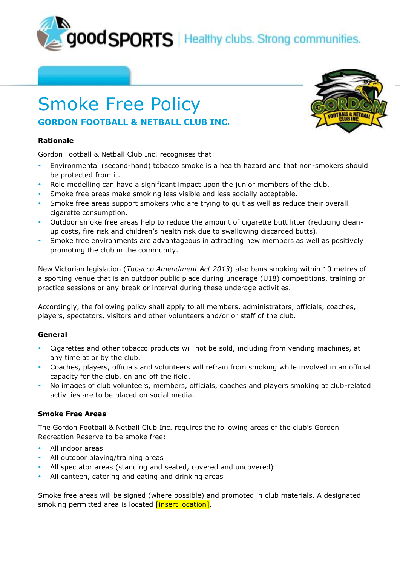**JOOD SPORTS** | Healthy clubs. Strong communities.

# Smoke Free Policy **GORDON FOOTBALL & NETBALL CLUB INC.**

## **Rationale**

Gordon Football & Netball Club Inc. recognises that:

- Environmental (second-hand) tobacco smoke is a health hazard and that non-smokers should be protected from it.
- Role modelling can have a significant impact upon the junior members of the club.
- Smoke free areas make smoking less visible and less socially acceptable.
- Smoke free areas support smokers who are trying to quit as well as reduce their overall cigarette consumption.
- Outdoor smoke free areas help to reduce the amount of cigarette butt litter (reducing cleanup costs, fire risk and children's health risk due to swallowing discarded butts).
- Smoke free environments are advantageous in attracting new members as well as positively promoting the club in the community.

New Victorian legislation (*Tobacco Amendment Act 2013*) also bans smoking within 10 metres of a sporting venue that is an outdoor public place during underage (U18) competitions, training or practice sessions or any break or interval during these underage activities.

Accordingly, the following policy shall apply to all members, administrators, officials, coaches, players, spectators, visitors and other volunteers and/or or staff of the club.

# **General**

- Cigarettes and other tobacco products will not be sold, including from vending machines, at any time at or by the club.
- Coaches, players, officials and volunteers will refrain from smoking while involved in an official capacity for the club, on and off the field.
- No images of club volunteers, members, officials, coaches and players smoking at club-related activities are to be placed on social media.

### **Smoke Free Areas**

The Gordon Football & Netball Club Inc. requires the following areas of the club's Gordon Recreation Reserve to be smoke free:

- All indoor areas
- All outdoor playing/training areas
- All spectator areas (standing and seated, covered and uncovered)
- All canteen, catering and eating and drinking areas

Smoke free areas will be signed (where possible) and promoted in club materials. A designated smoking permitted area is located *[insert location]*.